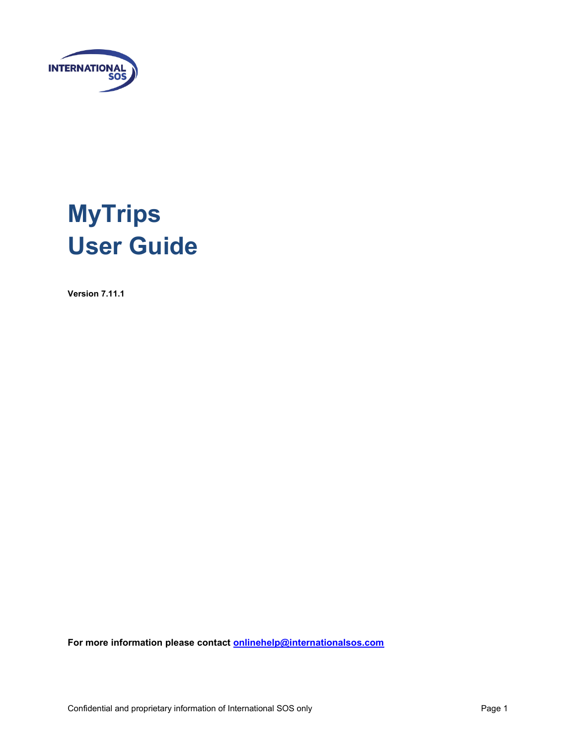

# **MyTrips User Guide**

**Version 7.11.1**

**For more information please contact [onlinehelp@internationalsos.com](mailto:onlinehelp@internationalsos.com)**

Confidential and proprietary information of International SOS only example that the state of Page 1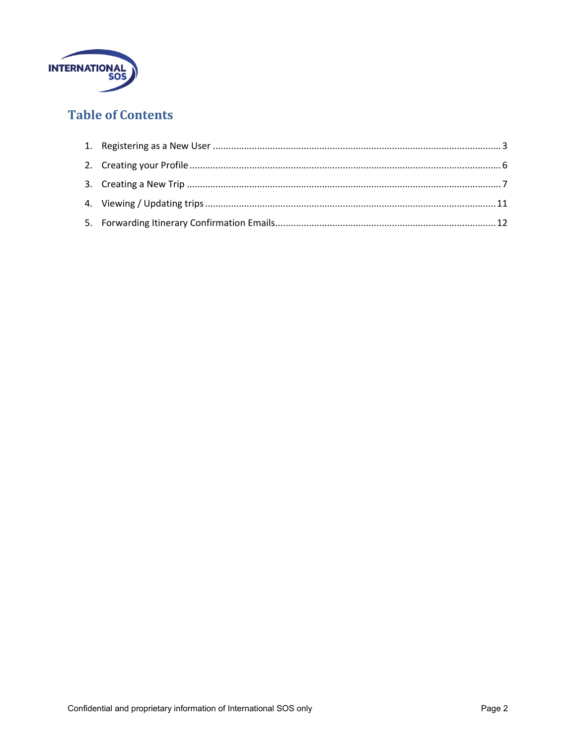

## **Table of Contents**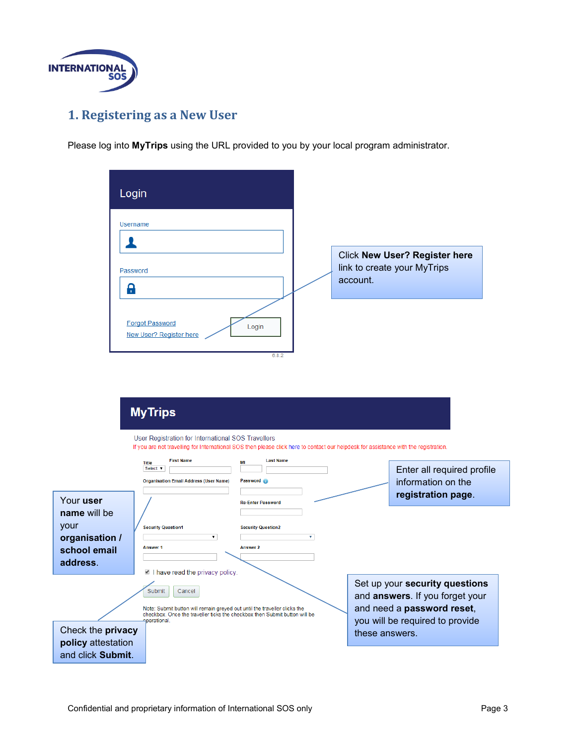

# <span id="page-2-0"></span>**1. Registering as a New User**

Please log into **MyTrips** using the URL provided to you by your local program administrator.

| Login                                                                           |                                                                                                                                                                                                                                                                                                     |                                                                   |    |                                 |                                                                                                 |
|---------------------------------------------------------------------------------|-----------------------------------------------------------------------------------------------------------------------------------------------------------------------------------------------------------------------------------------------------------------------------------------------------|-------------------------------------------------------------------|----|---------------------------------|-------------------------------------------------------------------------------------------------|
| <b>Username</b><br>ı<br>Password<br>А                                           |                                                                                                                                                                                                                                                                                                     |                                                                   |    | account.                        | <b>Click New User? Register here</b><br>link to create your MyTrips                             |
|                                                                                 | <b>Forgot Password</b><br>New User? Register here                                                                                                                                                                                                                                                   | Login<br>6.8.2                                                    |    |                                 |                                                                                                 |
|                                                                                 | <b>MyTrips</b>                                                                                                                                                                                                                                                                                      |                                                                   |    |                                 |                                                                                                 |
|                                                                                 | User Registration for International SOS Travellers<br>If you are not travelling for International SOS then please click here to contact our helpdesk for assistance with the registration.<br><b>First Name</b><br><b>Title</b><br>Select <b>v</b><br><b>Organisation Email Address (User Name)</b> | <b>Last Name</b><br>MI<br>Password                                |    |                                 | Enter all required profile<br>information on the<br>registration page.                          |
| Your user<br>name will be<br>your<br>organisation /<br>school email<br>address. | <b>Security Question1</b><br>▼<br>Answer 1                                                                                                                                                                                                                                                          | <b>Re-Enter Password</b><br><b>Security Question2</b><br>Answer 2 | ۷. |                                 |                                                                                                 |
|                                                                                 | I have read the privacy policy.<br>Submit<br>Cancel<br>Note: Submit button will remain greyed out until the traveller clicks the<br>checkbox. Once the traveller ticks the checkbox then Submit button will be<br>aperational.                                                                      |                                                                   |    | you will be required to provide | Set up your security questions<br>and answers. If you forget your<br>and need a password reset, |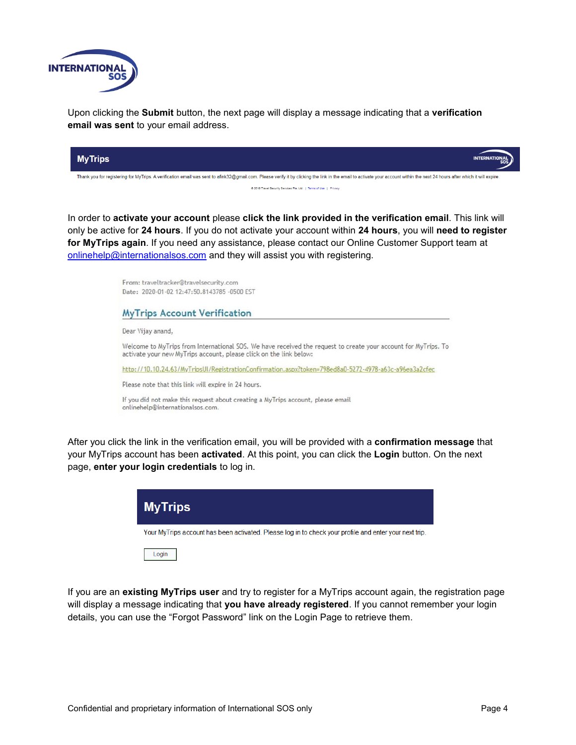

Upon clicking the **Submit** button, the next page will display a message indicating that a **verification email was sent** to your email address.



In order to **activate your account** please **click the link provided in the verification email**. This link will only be active for **24 hours**. If you do not activate your account within **24 hours**, you will **need to register for MyTrips again**. If you need any assistance, please contact our Online Customer Support team at [onlinehelp@internationalsos.com](mailto:onlinehelp@internationalsos.com) and they will assist you with registering.

|                                  | From: traveltracker@travelsecurity.com<br>Date: 2020-01-02 12:47:50.8143785 -0500 EST                                                                                                |
|----------------------------------|--------------------------------------------------------------------------------------------------------------------------------------------------------------------------------------|
|                                  | <b>MyTrips Account Verification</b>                                                                                                                                                  |
| Dear Vijay anand.                |                                                                                                                                                                                      |
|                                  | Welcome to MyTrips from International SOS. We have received the request to create your account for MyTrips. To<br>activate your new MyTrips account, please click on the link below: |
|                                  | http://10.10.24.63/MyTripsUI/RegistrationConfirmation.aspx?token=798ed8a0-5272-4978-a63c-a96ea3a2cfec                                                                                |
|                                  | Please note that this link will expire in 24 hours.                                                                                                                                  |
| onlinehelp@internationalsos.com. | If you did not make this request about creating a MyTrips account, please email                                                                                                      |

After you click the link in the verification email, you will be provided with a **confirmation message** that your MyTrips account has been **activated**. At this point, you can click the **Login** button. On the next page, **enter your login credentials** to log in.



If you are an **existing MyTrips user** and try to register for a MyTrips account again, the registration page will display a message indicating that **you have already registered**. If you cannot remember your login details, you can use the "Forgot Password" link on the Login Page to retrieve them.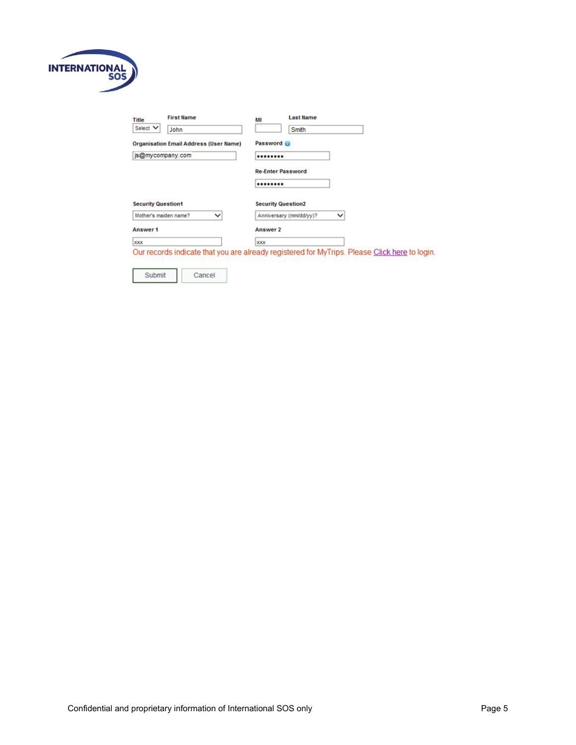

| <b>First Name</b><br>Title<br>Select V<br>John | <b>Last Name</b><br>MI<br>Smith                                                               |
|------------------------------------------------|-----------------------------------------------------------------------------------------------|
| <b>Organisation Email Address (User Name)</b>  | Password                                                                                      |
| js@mycompany.com                               |                                                                                               |
|                                                | <b>Re-Enter Password</b>                                                                      |
|                                                |                                                                                               |
| <b>Security Question1</b>                      | <b>Security Question2</b>                                                                     |
| Mother's maiden name?<br>◡                     | Anniversary (mm/dd/yy)?<br>◡                                                                  |
| Answer 1                                       | Answer 2                                                                                      |
| <b>XXX</b>                                     | <b>XXX</b>                                                                                    |
|                                                | Our records indicate that you are already registered for MyTrips. Please Click here to login. |

Submit Cancel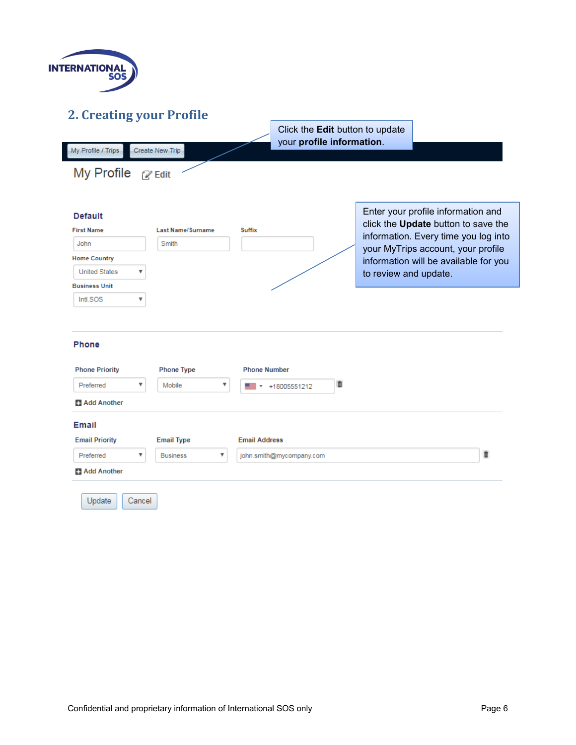

My Profile / Trips

# <span id="page-5-0"></span>**2. Creating your Profile**

Create New Trip

Click the **Edit** button to update your **profile information**.

My Profile @ Edit

| <b>Default</b>        |                          |                     | Enter your profile information and<br>click the Update button to save the |
|-----------------------|--------------------------|---------------------|---------------------------------------------------------------------------|
| <b>First Name</b>     | <b>Last Name/Surname</b> | <b>Suffix</b>       | information. Every time you log into                                      |
| John                  | Smith                    |                     | your MyTrips account, your profile                                        |
| <b>Home Country</b>   |                          |                     | information will be available for you                                     |
| <b>United States</b>  | ▼                        |                     | to review and update.                                                     |
| <b>Business Unit</b>  |                          |                     |                                                                           |
| Intl.SOS              |                          |                     |                                                                           |
|                       |                          |                     |                                                                           |
| <b>Phone</b>          |                          |                     |                                                                           |
| <b>Phone Priority</b> | <b>Phone Type</b>        | <b>Phone Number</b> |                                                                           |

| <b>Phone Priority</b> | <b>Phone Type</b>    |                           | <b>Phone Number</b>                           |   |
|-----------------------|----------------------|---------------------------|-----------------------------------------------|---|
| Preferred             | Mobile               | ▼                         | D<br>+18005551212<br>$\overline{\phantom{a}}$ |   |
| <b>Add Another</b>    |                      |                           |                                               |   |
| Email                 |                      |                           |                                               |   |
| <b>Email Priority</b> | <b>Email Type</b>    |                           | <b>Email Address</b>                          |   |
| Preferred             | <b>Business</b><br>v | $\boldsymbol{\mathrm{v}}$ | john.smith@mycompany.com                      | D |
| Add Another           |                      |                           |                                               |   |
| Update                | Cancel               |                           |                                               |   |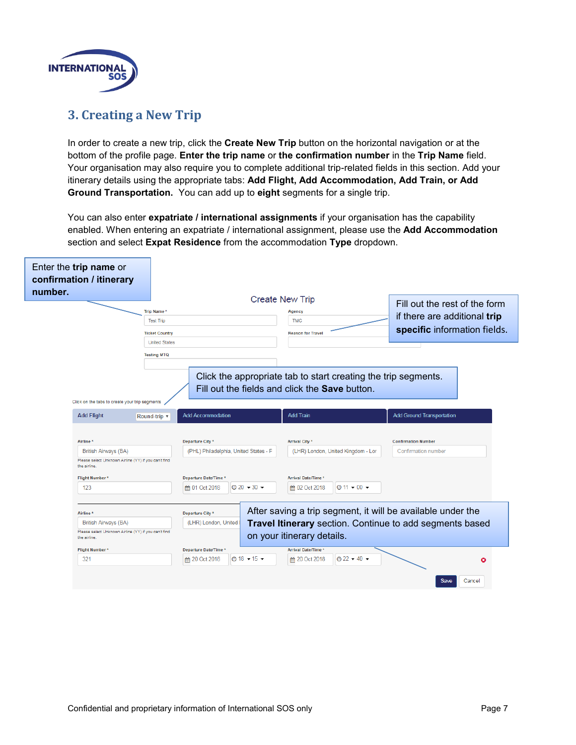

## <span id="page-6-0"></span>**3. Creating a New Trip**

In order to create a new trip, click the **Create New Trip** button on the horizontal navigation or at the bottom of the profile page. **Enter the trip name** or **the confirmation number** in the **Trip Name** field. Your organisation may also require you to complete additional trip-related fields in this section. Add your itinerary details using the appropriate tabs: **Add Flight, Add Accommodation, Add Train, or Add Ground Transportation.** You can add up to **eight** segments for a single trip.

You can also enter **expatriate / international assignments** if your organisation has the capability enabled. When entering an expatriate / international assignment, please use the **Add Accommodation** section and select **Expat Residence** from the accommodation **Type** dropdown.

| Enter the trip name or<br>confirmation / itinerary                                                                   |                                                           |                                                                                                                         |                                                          |
|----------------------------------------------------------------------------------------------------------------------|-----------------------------------------------------------|-------------------------------------------------------------------------------------------------------------------------|----------------------------------------------------------|
| number.                                                                                                              |                                                           | <b>Create New Trip</b>                                                                                                  | Fill out the rest of the form                            |
| Trip Name*                                                                                                           |                                                           | Agency                                                                                                                  | if there are additional trip                             |
| <b>Test Trip</b>                                                                                                     |                                                           | <b>TMC</b>                                                                                                              |                                                          |
|                                                                                                                      | <b>Ticket Country</b>                                     | <b>Reason for Travel</b>                                                                                                | specific information fields.                             |
|                                                                                                                      | <b>United States</b>                                      |                                                                                                                         |                                                          |
| <b>Testing MTQ</b>                                                                                                   |                                                           |                                                                                                                         |                                                          |
| Click on the tabs to create your trip segments                                                                       |                                                           | Click the appropriate tab to start creating the trip segments.<br>Fill out the fields and click the <b>Save</b> button. |                                                          |
| <b>Add Flight</b><br>Round-trip v                                                                                    | <b>Add Accommodation</b>                                  | <b>Add Train</b>                                                                                                        | <b>Add Ground Transportation</b>                         |
| Airline <sup>1</sup><br>British Airways (BA)<br>Please select Unknown Airline (YY) if you can't find<br>the airline. | Departure City *<br>(PHL) Philadelphia, United States - F | <b>Arrival City *</b><br>(LHR) London, United Kingdom - Lor                                                             | <b>Confirmation Number</b><br><b>Confirmation number</b> |
| Flight Number*                                                                                                       | Departure Date/Time *                                     | <b>Arrival Date/Time *</b>                                                                                              |                                                          |
| 123                                                                                                                  | $\odot$ 20 $\sim$ 30 $\sim$<br>tm 01 Oct 2018             | $\odot$ 11 $\sim$ 00 $\star$<br><b>簡 02 Oct 2018</b>                                                                    |                                                          |
|                                                                                                                      |                                                           |                                                                                                                         |                                                          |
| Airline <sup>1</sup>                                                                                                 | Departure City *                                          | After saving a trip segment, it will be available under the                                                             |                                                          |
| British Airways (BA)                                                                                                 | (LHR) London, United                                      | Travel Itinerary section. Continue to add segments based                                                                |                                                          |
| Please select Unknown Airline (YY) if you can't find<br>the airline.                                                 |                                                           | on your itinerary details.                                                                                              |                                                          |
| <b>Flight Number*</b>                                                                                                | Departure Date/Time *                                     | <b>Arrival Date/Time *</b>                                                                                              |                                                          |
| 321                                                                                                                  | $\odot$ 18 $\bullet$ 15 $\bullet$<br>tm 20 Oct 2018       | $Q$ 22 $\div$ 40 $\div$<br><b>€</b> 20 Oct 2018                                                                         | o                                                        |
|                                                                                                                      |                                                           |                                                                                                                         | Save<br>Cancel                                           |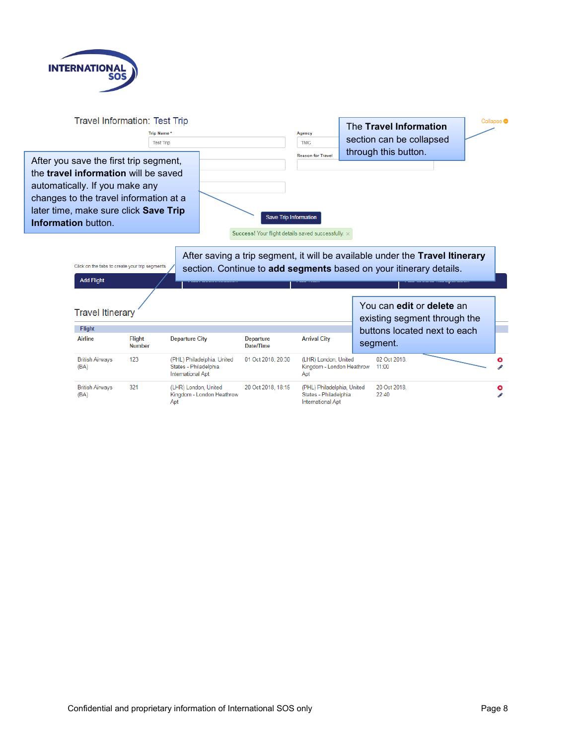



**British Airways** (BA)

(LHR) London, United 20 Oct 2018, 18:15 Kingdom - London Heathrow

Apt

(PHL) Philadelphia, United States - Philadelphia  $22:40$ International Apt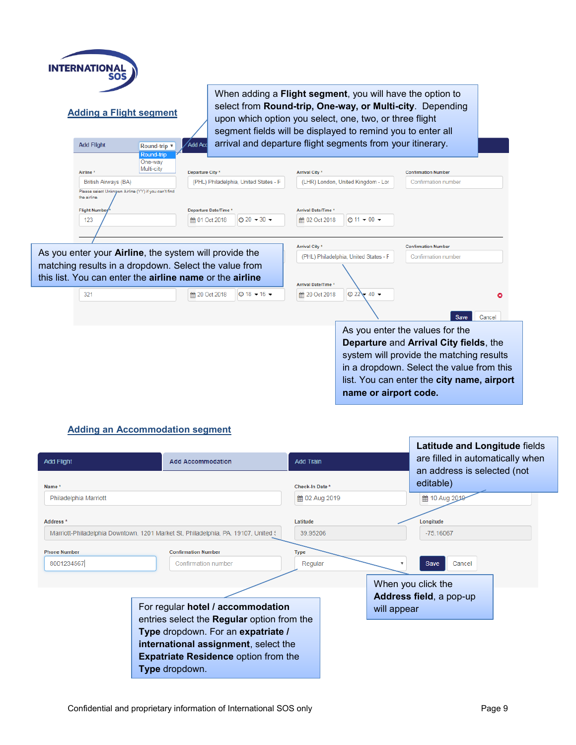| <b>INTERNATIONAL</b>                                                 |                                                                                                                   |                                         |                                                             |                                       |                                                    |                                                                                                                                                                                                                                                   |                                                                                                                                                                                                                  |
|----------------------------------------------------------------------|-------------------------------------------------------------------------------------------------------------------|-----------------------------------------|-------------------------------------------------------------|---------------------------------------|----------------------------------------------------|---------------------------------------------------------------------------------------------------------------------------------------------------------------------------------------------------------------------------------------------------|------------------------------------------------------------------------------------------------------------------------------------------------------------------------------------------------------------------|
| <b>Adding a Flight segment</b>                                       |                                                                                                                   | Add Acc                                 |                                                             |                                       |                                                    | When adding a Flight segment, you will have the option to<br>upon which option you select, one, two, or three flight<br>segment fields will be displayed to remind you to enter all<br>arrival and departure flight segments from your itinerary. | select from Round-trip, One-way, or Multi-city. Depending                                                                                                                                                        |
| <b>Add Flight</b>                                                    | Round-trip ▼<br>Round-trip                                                                                        |                                         |                                                             |                                       |                                                    |                                                                                                                                                                                                                                                   |                                                                                                                                                                                                                  |
| Airline <sup>*</sup>                                                 | One-way<br>Multi-city                                                                                             | Departure City *                        |                                                             |                                       | <b>Arrival City *</b>                              |                                                                                                                                                                                                                                                   | <b>Confirmation Number</b>                                                                                                                                                                                       |
| British Airways (BA)                                                 |                                                                                                                   |                                         |                                                             | (PHL) Philadelphia, United States - F |                                                    | (LHR) London, United Kingdom - Lor                                                                                                                                                                                                                | Confirmation number                                                                                                                                                                                              |
| Please select Unknown Airline (YY) if you can't find<br>the airline. |                                                                                                                   |                                         |                                                             |                                       |                                                    |                                                                                                                                                                                                                                                   |                                                                                                                                                                                                                  |
| <b>Flight Number</b><br>123                                          |                                                                                                                   | Departure Date/Time *<br>tm 01 Oct 2018 | <b>Arrival Date/Time *</b><br>$\odot$ 20 $\star$ 30 $\star$ |                                       | $\odot$ 11 $\div$ 00 $\div$                        |                                                                                                                                                                                                                                                   |                                                                                                                                                                                                                  |
|                                                                      |                                                                                                                   |                                         |                                                             |                                       | <b>簡 02 Oct 2018</b>                               |                                                                                                                                                                                                                                                   |                                                                                                                                                                                                                  |
|                                                                      |                                                                                                                   |                                         |                                                             |                                       | Arrival City *                                     |                                                                                                                                                                                                                                                   | <b>Confirmation Number</b>                                                                                                                                                                                       |
|                                                                      | As you enter your <b>Airline</b> , the system will provide the                                                    |                                         |                                                             |                                       |                                                    | (PHL) Philadelphia, United States - F                                                                                                                                                                                                             | <b>Confirmation number</b>                                                                                                                                                                                       |
|                                                                      | matching results in a dropdown. Select the value from<br>this list. You can enter the airline name or the airline |                                         |                                                             |                                       |                                                    |                                                                                                                                                                                                                                                   |                                                                                                                                                                                                                  |
| 321                                                                  |                                                                                                                   | td 20 Oct 2018                          |                                                             | $\Theta$ 18 $\sim$ 15 $\sim$          | <b>Arrival Date/Time *</b><br><b>■ 20 Oct 2018</b> | $\odot$ 22<br>$40 \rightarrow$                                                                                                                                                                                                                    |                                                                                                                                                                                                                  |
|                                                                      |                                                                                                                   |                                         |                                                             |                                       |                                                    |                                                                                                                                                                                                                                                   | Save<br>Cancel                                                                                                                                                                                                   |
|                                                                      |                                                                                                                   |                                         |                                                             |                                       |                                                    | name or airport code.                                                                                                                                                                                                                             | As you enter the values for the<br>Departure and Arrival City fields, the<br>system will provide the matching results<br>in a dropdown. Select the value from this<br>list. You can enter the city name, airport |

#### **Adding an Accommodation segment**

| <b>Add Flight</b><br>Name*        | <b>Add Accommodation</b>                                                                                                                                                                                                              | <b>Add Train</b><br>Check-In Date * |             | Latitude and Longitude fields<br>are filled in automatically when<br>an address is selected (not<br>editable) |  |
|-----------------------------------|---------------------------------------------------------------------------------------------------------------------------------------------------------------------------------------------------------------------------------------|-------------------------------------|-------------|---------------------------------------------------------------------------------------------------------------|--|
| Philadelphia Marriott             |                                                                                                                                                                                                                                       | 論 02 Aug 2019                       |             | ■ 10 Aug 2019                                                                                                 |  |
| Address <sup>*</sup>              | Marriott-Philadelphia Downtown, 1201 Market St, Philadelphia, PA, 19107, United §                                                                                                                                                     | Latitude<br>39.95206                |             | Longitude<br>$-75.16067$                                                                                      |  |
| <b>Phone Number</b><br>8001234567 | <b>Confirmation Number</b><br><b>Confirmation number</b>                                                                                                                                                                              | <b>Type</b><br>Regular              | v           | Cancel<br><b>Save</b><br>When you click the                                                                   |  |
|                                   | For regular hotel / accommodation<br>entries select the <b>Regular</b> option from the<br>Type dropdown. For an expatriate /<br>international assignment, select the<br><b>Expatriate Residence option from the</b><br>Type dropdown. |                                     | will appear | Address field, a pop-up                                                                                       |  |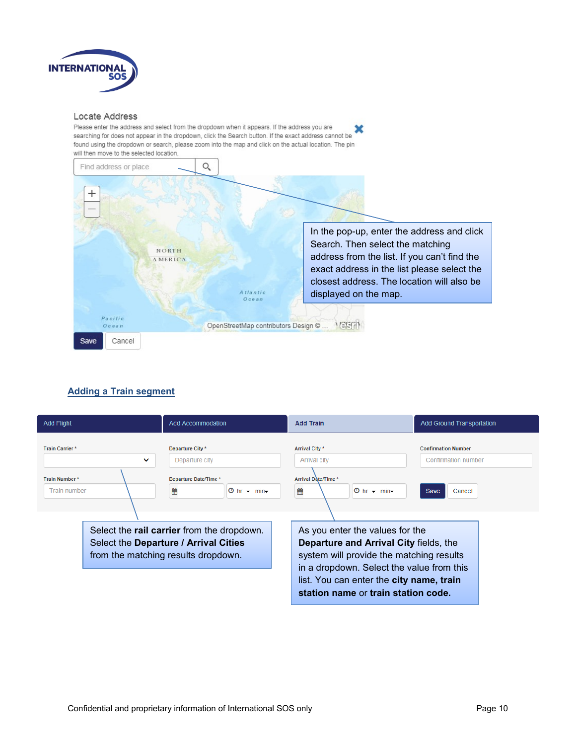

#### Locate Address

Please enter the address and select from the dropdown when it appears. If the address you are × searching for does not appear in the dropdown, click the Search button. If the exact address cannot be found using the dropdown or search, please zoom into the map and click on the actual location. The pin will then move to the selected location.



#### **Adding a Train segment**

| <b>Add Flight</b>                     | <b>Add Accommodation</b>                                                                                                          | <b>Add Train</b>                                                                                                                                                                                                                                      | <b>Add Ground Transportation</b>                  |
|---------------------------------------|-----------------------------------------------------------------------------------------------------------------------------------|-------------------------------------------------------------------------------------------------------------------------------------------------------------------------------------------------------------------------------------------------------|---------------------------------------------------|
| <b>Train Carrier*</b><br>$\checkmark$ | Departure City *<br>Departure city                                                                                                | <b>Arrival City *</b><br>Arrival city                                                                                                                                                                                                                 | <b>Confirmation Number</b><br>Confirmation number |
| Train Number*<br><b>Train number</b>  | Departure Date/Time *<br>雦<br>$\Theta$ hr $\sim$ min $\sim$                                                                       | Arrival Date/Time *<br>鱛<br>$\Theta$ hr $\sim$ min $\sim$                                                                                                                                                                                             | <b>Save</b><br>Cancel                             |
|                                       | Select the <b>rail carrier</b> from the dropdown.<br>Select the Departure / Arrival Cities<br>from the matching results dropdown. | As you enter the values for the<br>Departure and Arrival City fields, the<br>system will provide the matching results<br>in a dropdown. Select the value from this<br>list. You can enter the city name, train<br>station name or train station code. |                                                   |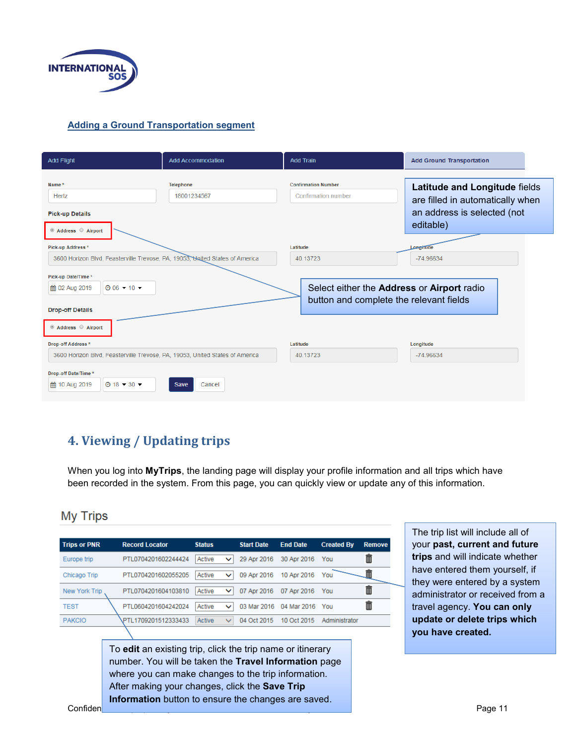

#### **Adding a Ground Transportation segment**

| <b>Add Flight</b>                                                                                                                                                                       | <b>Add Accommodation</b>        | <b>Add Train</b>                                                                                              | <b>Add Ground Transportation</b>                                                                              |  |
|-----------------------------------------------------------------------------------------------------------------------------------------------------------------------------------------|---------------------------------|---------------------------------------------------------------------------------------------------------------|---------------------------------------------------------------------------------------------------------------|--|
| Name*<br>Hertz<br><b>Pick-up Details</b><br>Address Airport                                                                                                                             | <b>Telephone</b><br>18001234567 | <b>Confirmation Number</b><br><b>Confirmation number</b>                                                      | Latitude and Longitude fields<br>are filled in automatically when<br>an address is selected (not<br>editable) |  |
| Pick-up Address *<br>3600 Horizon Blvd, Feasterville Trevose, PA, 19053, United States of America<br>Pick-up Date/Time *<br>$@06 - 10 -$<br>篇 02 Aug 2019<br><b>Drop-off Details</b>    |                                 | Latitude<br>40.13723<br>Select either the Address or Airport radio<br>button and complete the relevant fields | Longitude<br>$-74.96634$                                                                                      |  |
| Address Airport<br>Drop-off Address *<br>3600 Horizon Blvd, Feasterville Trevose, PA, 19053, United States of America<br>Drop-off Date/Time *<br>簡 10 Aug 2019<br>$\odot$ 18 $-$ 30 $-$ | Save<br>Cancel                  | Latitude<br>40.13723                                                                                          | Longitude<br>$-74.96634$                                                                                      |  |

## <span id="page-10-0"></span>**4. Viewing / Updating trips**

When you log into **MyTrips**, the landing page will display your profile information and all trips which have been recorded in the system. From this page, you can quickly view or update any of this information.

### **My Trips**

| <b>Trips or PNR</b> | <b>Record Locator</b> | <b>Status</b>          | <b>Start Date</b> | <b>End Date</b> | <b>Created By</b> | <b>Remove</b> |
|---------------------|-----------------------|------------------------|-------------------|-----------------|-------------------|---------------|
| Europe trip         | PTL0704201602244424   | Active<br>$\checkmark$ | 29 Apr 2016       | 30 Apr 2016     | You               | Ť             |
| Chicago Trip        | PTL0704201602055205   | Active<br>$\checkmark$ | 09 Apr 2016       | 10 Apr 2016     | You               |               |
| New York Trip       | PTL0704201604103810   | Active<br>◡            | 07 Apr 2016       | 07 Apr 2016     | You               | 而             |
| <b>TEST</b>         | PTL0604201604242024   | Active<br>$\checkmark$ | 03 Mar 2016       | 04 Mar 2016     | You               | 而             |
| <b>PAKCIO</b>       | PTI 1709201512333433  | Active<br>$\checkmark$ | 04 Oct 2015       | 10 Oct 2015     | Administrator     |               |
|                     |                       |                        |                   |                 |                   |               |

To **edit** an existing trip, click the trip name or itinerary number. You will be taken the **Travel Information** page where you can make changes to the trip information. After making your changes, click the **Save Trip Information** button to ensure the changes are saved.

The trip list will include all of your **past, current and future trips** and will indicate whether have entered them yourself, if they were entered by a system administrator or received from a travel agency. **You can only update or delete trips which you have created.**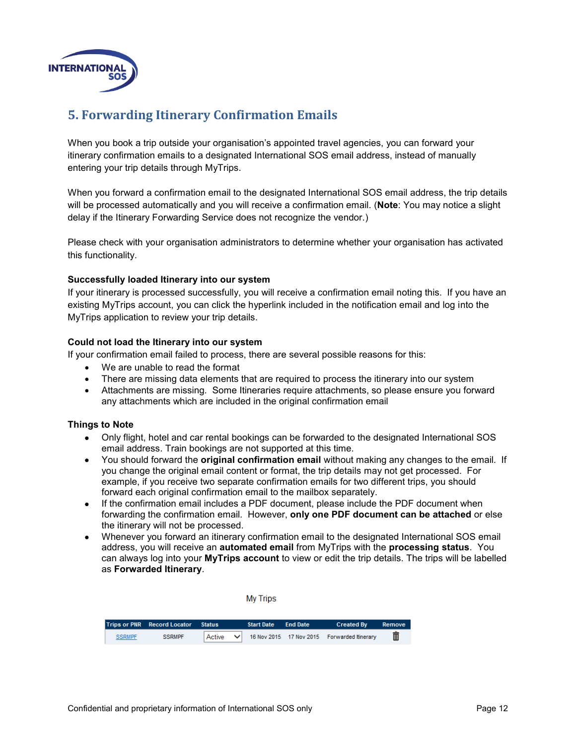

## <span id="page-11-0"></span>**5. Forwarding Itinerary Confirmation Emails**

When you book a trip outside your organisation's appointed travel agencies, you can forward your itinerary confirmation emails to a designated International SOS email address, instead of manually entering your trip details through MyTrips.

When you forward a confirmation email to the designated International SOS email address, the trip details will be processed automatically and you will receive a confirmation email. (**Note**: You may notice a slight delay if the Itinerary Forwarding Service does not recognize the vendor.)

Please check with your organisation administrators to determine whether your organisation has activated this functionality.

#### **Successfully loaded Itinerary into our system**

If your itinerary is processed successfully, you will receive a confirmation email noting this. If you have an existing MyTrips account, you can click the hyperlink included in the notification email and log into the MyTrips application to review your trip details.

#### **Could not load the Itinerary into our system**

If your confirmation email failed to process, there are several possible reasons for this:

- We are unable to read the format
- There are missing data elements that are required to process the itinerary into our system
- Attachments are missing. Some Itineraries require attachments, so please ensure you forward any attachments which are included in the original confirmation email

#### **Things to Note**

- Only flight, hotel and car rental bookings can be forwarded to the designated International SOS email address. Train bookings are not supported at this time.
- You should forward the **original confirmation email** without making any changes to the email. If you change the original email content or format, the trip details may not get processed. For example, if you receive two separate confirmation emails for two different trips, you should forward each original confirmation email to the mailbox separately.
- If the confirmation email includes a PDF document, please include the PDF document when forwarding the confirmation email. However, **only one PDF document can be attached** or else the itinerary will not be processed.
- Whenever you forward an itinerary confirmation email to [the](mailto:MyTrips@travelsecurity.com) designated International SOS email address, you will receive an **automated email** from MyTrips with the **processing status**. You can always log into your **MyTrips account** to view or edit the trip details. The trips will be labelled as **Forwarded Itinerary**.

|               |                                    |               |   | <b>My Trips</b>   |                 |                                             |        |
|---------------|------------------------------------|---------------|---|-------------------|-----------------|---------------------------------------------|--------|
|               | <b>Trips or PNR Record Locator</b> | <b>Status</b> |   | <b>Start Date</b> | <b>End Date</b> | <b>Created By</b>                           | Remove |
| <b>SSRMPF</b> | <b>SSRMPF</b>                      | Active        | ◡ |                   |                 | 16 Nov 2015 17 Nov 2015 Forwarded Itinerary | to     |